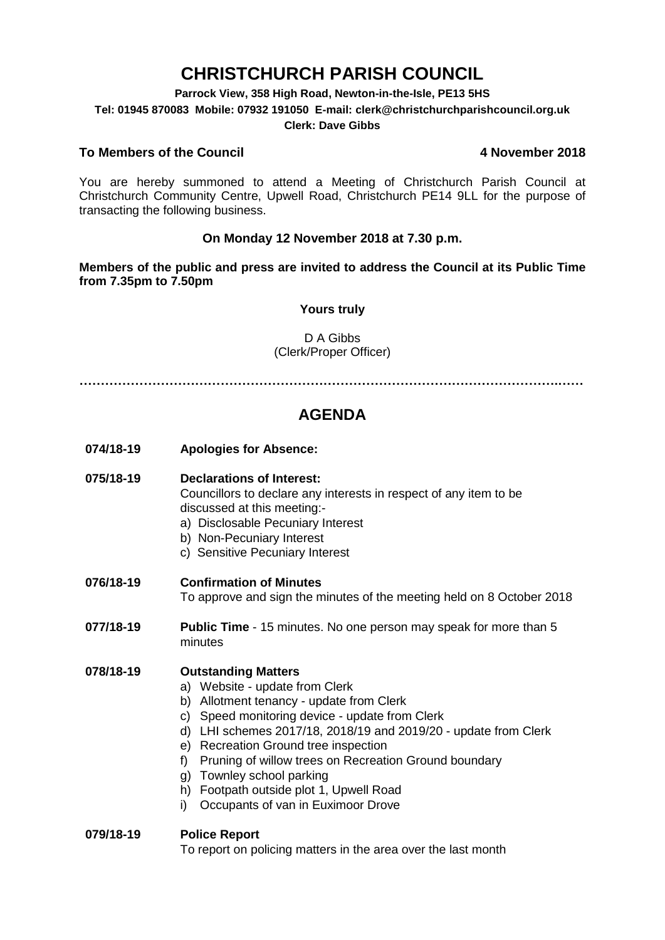# **CHRISTCHURCH PARISH COUNCIL**

**Parrock View, 358 High Road, Newton-in-the-Isle, PE13 5HS**

**Tel: 01945 870083 Mobile: 07932 191050 E-mail: clerk@christchurchparishcouncil.org.uk**

#### **Clerk: Dave Gibbs**

#### **To Members of the Council 4 November 2018**

You are hereby summoned to attend a Meeting of Christchurch Parish Council at Christchurch Community Centre, Upwell Road, Christchurch PE14 9LL for the purpose of transacting the following business.

#### **On Monday 12 November 2018 at 7.30 p.m.**

**Members of the public and press are invited to address the Council at its Public Time from 7.35pm to 7.50pm**

#### **Yours truly**

#### D A Gibbs (Clerk/Proper Officer)

**………………………………………………………………………………………………….……**

## **AGENDA**

**074/18-19 Apologies for Absence:** 

#### **075/18-19 Declarations of Interest:**

Councillors to declare any interests in respect of any item to be discussed at this meeting:-

- a) Disclosable Pecuniary Interest
- b) Non-Pecuniary Interest
- c) Sensitive Pecuniary Interest

#### **076/18-19 Confirmation of Minutes**

To approve and sign the minutes of the meeting held on 8 October 2018

**077/18-19 Public Time** - 15 minutes. No one person may speak for more than 5 minutes

#### **078/18-19 Outstanding Matters**

- a) Website update from Clerk
- b) Allotment tenancy update from Clerk
- c) Speed monitoring device update from Clerk
- d) LHI schemes 2017/18, 2018/19 and 2019/20 update from Clerk
- e) Recreation Ground tree inspection
- f) Pruning of willow trees on Recreation Ground boundary
- g) Townley school parking
- h) Footpath outside plot 1, Upwell Road
- i) Occupants of van in Euximoor Drove

#### **079/18-19 Police Report**

To report on policing matters in the area over the last month